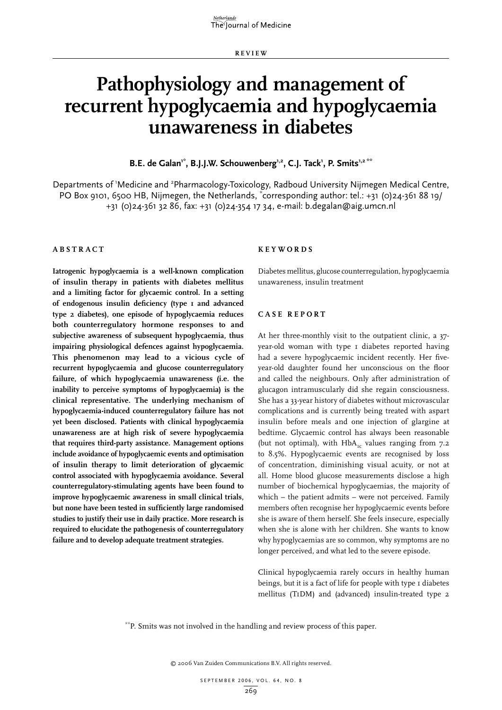**R E VI E W**

# **Pathophysiology and management of recurrent hypoglycaemia and hypoglycaemia unawareness in diabetes**

B.E. de Galan<sup>1\*</sup>, B.J.J.W. Schouwenberg<sup>1,2</sup>, C.J. Tack<sup>1</sup>, P. Smits<sup>1,2 \*\*</sup>

Departments of 'Medicine and <sup>2</sup>Pharmacology-Toxicology, Radboud University Nijmegen Medical Centre, PO Box 9101, 6500 HB, Nijmegen, the Netherlands, \*corresponding author: tel.: +31 (0)24-361 88 19/ +31 (0)24-361 32 86, fax: +31 (0)24-354 17 34, e-mail: b.degalan@aig.umcn.nl

## **A b s t r act**

**Iatrogenic hypoglycaemia is a well-known complication of insulin therapy in patients with diabetes mellitus and a limiting factor for glycaemic control. In a setting of endogenous insulin deficiency (type 1 and advanced type 2 diabetes), one episode of hypoglycaemia reduces both counterregulatory hormone responses to and subjective awareness of subsequent hypoglycaemia, thus impairing physiological defences against hypoglycaemia. This phenomenon may lead to a vicious cycle of recurrent hypoglycaemia and glucose counterregulatory failure, of which hypoglycaemia unawareness (i.e. the inability to perceive symptoms of hypoglycaemia) is the clinical representative. The underlying mechanism of hypoglycaemia-induced counterregulatory failure has not yet been disclosed. Patients with clinical hypoglycaemia unawareness are at high risk of severe hypoglycaemia that requires third-party assistance. Management options include avoidance of hypoglycaemic events and optimisation of insulin therapy to limit deterioration of glycaemic control associated with hypoglycaemia avoidance. Several counterregulatory-stimulating agents have been found to improve hypoglycaemic awareness in small clinical trials, but none have been tested in sufficiently large randomised studies to justify their use in daily practice. More research is required to elucidate the pathogenesis of counterregulatory failure and to develop adequate treatment strategies.**

#### **K e y w o r d s**

Diabetes mellitus, glucose counterregulation, hypoglycaemia unawareness, insulin treatment

## **C a s e r e p o r t**

At her three-monthly visit to the outpatient clinic, a 37 year-old woman with type I diabetes reported having had a severe hypoglycaemic incident recently. Her fiveyear-old daughter found her unconscious on the floor and called the neighbours. Only after administration of glucagon intramuscularly did she regain consciousness. She has a 33-year history of diabetes without microvascular complications and is currently being treated with aspart insulin before meals and one injection of glargine at bedtime. Glycaemic control has always been reasonable (but not optimal), with  $HbA_{1c}$  values ranging from 7.2 to 8.5%. Hypoglycaemic events are recognised by loss of concentration, diminishing visual acuity, or not at all. Home blood glucose measurements disclose a high number of biochemical hypoglycaemias, the majority of which – the patient admits – were not perceived. Family members often recognise her hypoglycaemic events before she is aware of them herself. She feels insecure, especially when she is alone with her children. She wants to know why hypoglycaemias are so common, why symptoms are no longer perceived, and what led to the severe episode.

Clinical hypoglycaemia rarely occurs in healthy human beings, but it is a fact of life for people with type I diabetes mellitus (T1DM) and (advanced) insulin-treated type 2

\*\*P. Smits was not involved in the handling and review process of this paper.

© 2006 Van Zuiden Communications B.V. All rights reserved.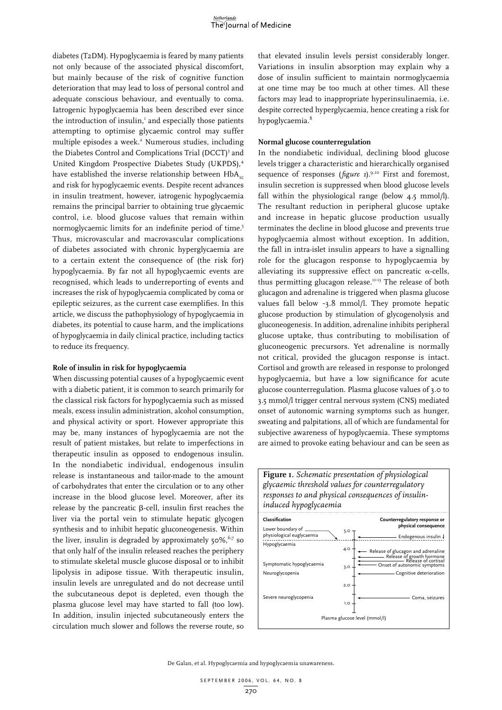diabetes (T2DM). Hypoglycaemia is feared by many patients not only because of the associated physical discomfort, but mainly because of the risk of cognitive function deterioration that may lead to loss of personal control and adequate conscious behaviour, and eventually to coma. Iatrogenic hypoglycaemia has been described ever since the introduction of insulin,<sup>1</sup> and especially those patients attempting to optimise glycaemic control may suffer multiple episodes a week.<sup>2</sup> Numerous studies, including the Diabetes Control and Complications Trial (DCCT)<sup>3</sup> and United Kingdom Prospective Diabetes Study (UKPDS),<sup>4</sup> have established the inverse relationship between  $HbA_{rc}$ and risk for hypoglycaemic events. Despite recent advances in insulin treatment, however, iatrogenic hypoglycaemia remains the principal barrier to obtaining true glycaemic control, i.e. blood glucose values that remain within normoglycaemic limits for an indefinite period of time.<sup>5</sup> Thus, microvascular and macrovascular complications of diabetes associated with chronic hyperglycaemia are to a certain extent the consequence of (the risk for) hypoglycaemia. By far not all hypoglycaemic events are recognised, which leads to underreporting of events and increases the risk of hypoglycaemia complicated by coma or epileptic seizures, as the current case exemplifies. In this article, we discuss the pathophysiology of hypoglycaemia in diabetes, its potential to cause harm, and the implications of hypoglycaemia in daily clinical practice, including tactics to reduce its frequency.

#### **Role of insulin in risk for hypoglycaemia**

When discussing potential causes of a hypoglycaemic event with a diabetic patient, it is common to search primarily for the classical risk factors for hypoglycaemia such as missed meals, excess insulin administration, alcohol consumption, and physical activity or sport. However appropriate this may be, many instances of hypoglycaemia are not the result of patient mistakes, but relate to imperfections in therapeutic insulin as opposed to endogenous insulin. In the nondiabetic individual, endogenous insulin release is instantaneous and tailor-made to the amount of carbohydrates that enter the circulation or to any other increase in the blood glucose level. Moreover, after its release by the pancreatic  $\beta$ -cell, insulin first reaches the liver via the portal vein to stimulate hepatic glycogen synthesis and to inhibit hepatic gluconeogenesis. Within the liver, insulin is degraded by approximately  $50\%$ ,<sup>6,7</sup> so that only half of the insulin released reaches the periphery to stimulate skeletal muscle glucose disposal or to inhibit lipolysis in adipose tissue. With therapeutic insulin, insulin levels are unregulated and do not decrease until the subcutaneous depot is depleted, even though the plasma glucose level may have started to fall (too low). In addition, insulin injected subcutaneously enters the circulation much slower and follows the reverse route, so

that elevated insulin levels persist considerably longer. Variations in insulin absorption may explain why a dose of insulin sufficient to maintain normoglycaemia at one time may be too much at other times. All these factors may lead to inappropriate hyperinsulinaemia, i.e. despite corrected hyperglycaemia, hence creating a risk for hypoglycaemia.<sup>8</sup>

## **Normal glucose counterregulation**

In the nondiabetic individual, declining blood glucose levels trigger a characteristic and hierarchically organised sequence of responses (*figure 1*).<sup>9,10</sup> First and foremost, insulin secretion is suppressed when blood glucose levels fall within the physiological range (below 4.5 mmol/l). The resultant reduction in peripheral glucose uptake and increase in hepatic glucose production usually terminates the decline in blood glucose and prevents true hypoglycaemia almost without exception. In addition, the fall in intra-islet insulin appears to have a signalling role for the glucagon response to hypoglycaemia by alleviating its suppressive effect on pancreatic  $\alpha$ -cells, thus permitting glucagon release.11-13 The release of both glucagon and adrenaline is triggered when plasma glucose values fall below ~3.8 mmol/l. They promote hepatic glucose production by stimulation of glycogenolysis and gluconeogenesis. In addition, adrenaline inhibits peripheral glucose uptake, thus contributing to mobilisation of gluconeogenic precursors. Yet adrenaline is normally not critical, provided the glucagon response is intact. Cortisol and growth are released in response to prolonged hypoglycaemia, but have a low significance for acute glucose counterregulation. Plasma glucose values of 3.0 to 3.5 mmol/l trigger central nervous system (CNS) mediated onset of autonomic warning symptoms such as hunger, sweating and palpitations, all of which are fundamental for subjective awareness of hypoglycaemia. These symptoms are aimed to provoke eating behaviour and can be seen as

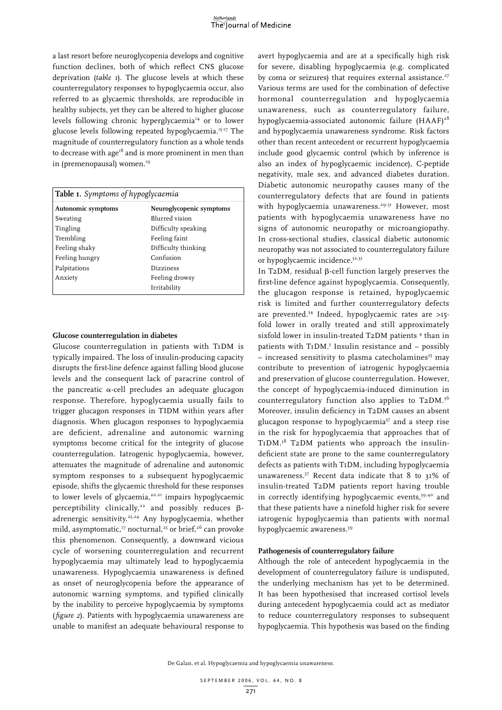a last resort before neuroglycopenia develops and cognitive function declines, both of which reflect CNS glucose deprivation (*table 1*). The glucose levels at which these counterregulatory responses to hypoglycaemia occur, also referred to as glycaemic thresholds, are reproducible in healthy subjects, yet they can be altered to higher glucose levels following chronic hyperglycaemia<sup>14</sup> or to lower glucose levels following repeated hypoglycaemia.<sup>15-17</sup> The magnitude of counterregulatory function as a whole tends to decrease with  $age^{18}$  and is more prominent in men than in (premenopausal) women.<sup>19</sup>

| Table 1. Symptoms of hypoglycaemia |                          |  |
|------------------------------------|--------------------------|--|
| Autonomic symptoms                 | Neuroglycopenic symptoms |  |
| Sweating                           | Blurred vision           |  |
| Tingling                           | Difficulty speaking      |  |
| Trembling                          | Feeling faint            |  |
| Feeling shaky                      | Difficulty thinking      |  |
| Feeling hungry                     | Confusion                |  |
| Palpitations                       | <b>Dizziness</b>         |  |
| Anxiety                            | Feeling drowsy           |  |
|                                    | Irritability             |  |

### **Glucose counterregulation in diabetes**

Glucose counterregulation in patients with T1DM is typically impaired. The loss of insulin-producing capacity disrupts the first-line defence against falling blood glucose levels and the consequent lack of paracrine control of the pancreatic  $\alpha$ -cell precludes an adequate glucagon response. Therefore, hypoglycaemia usually fails to trigger glucagon responses in TIDM within years after diagnosis. When glucagon responses to hypoglycaemia are deficient, adrenaline and autonomic warning symptoms become critical for the integrity of glucose counterregulation. Iatrogenic hypoglycaemia, however, attenuates the magnitude of adrenaline and autonomic symptom responses to a subsequent hypoglycaemic episode, shifts the glycaemic threshold for these responses to lower levels of glycaemia,<sup>20,21</sup> impairs hypoglycaemic perceptibility clinically,<sup>22</sup> and possibly reduces  $\beta$ adrenergic sensitivity.<sup>23,24</sup> Any hypoglycaemia, whether mild, asymptomatic,<sup>17</sup> nocturnal,<sup>25</sup> or brief,<sup>26</sup> can provoke this phenomenon. Consequently, a downward vicious cycle of worsening counterregulation and recurrent hypoglycaemia may ultimately lead to hypoglycaemia unawareness. Hypoglycaemia unawareness is defined as onset of neuroglycopenia before the appearance of autonomic warning symptoms, and typified clinically by the inability to perceive hypoglycaemia by symptoms (*figure 2*). Patients with hypoglycaemia unawareness are unable to manifest an adequate behavioural response to

avert hypoglycaemia and are at a specifically high risk for severe, disabling hypoglycaemia (e.g. complicated by coma or seizures) that requires external assistance.<sup>27</sup> Various terms are used for the combination of defective hormonal counterregulation and hypoglycaemia unawareness, such as counterregulatory failure, hypoglycaemia-associated autonomic failure (HAAF)<sup>28</sup> and hypoglycaemia unawareness syndrome. Risk factors other than recent antecedent or recurrent hypoglycaemia include good glycaemic control (which by inference is also an index of hypoglycaemic incidence), C-peptide negativity, male sex, and advanced diabetes duration. Diabetic autonomic neuropathy causes many of the counterregulatory defects that are found in patients with hypoglycaemia unawareness.<sup>29-31</sup> However, most patients with hypoglycaemia unawareness have no signs of autonomic neuropathy or microangiopathy. In cross-sectional studies, classical diabetic autonomic neuropathy was not associated to counterregulatory failure or hypoglycaemic incidence.<sup>32,33</sup>

In T2DM, residual  $\beta$ -cell function largely preserves the first-line defence against hypoglycaemia. Consequently, the glucagon response is retained, hypoglycaemic risk is limited and further counterregulatory defects are prevented.<sup>34</sup> Indeed, hypoglycaemic rates are  $>15$ fold lower in orally treated and still approximately sixfold lower in insulin-treated T2DM patients<sup>4</sup> than in patients with T1DM.<sup>3</sup> Insulin resistance and - possibly  $-$  increased sensitivity to plasma catecholamines<sup>35</sup> may contribute to prevention of iatrogenic hypoglycaemia and preservation of glucose counterregulation. However, the concept of hypoglycaemia-induced diminution in counterregulatory function also applies to T2DM.36 Moreover, insulin deficiency in T2DM causes an absent glucagon response to hypoglycaemia<sup>37</sup> and a steep rise in the risk for hypoglycaemia that approaches that of T1DM.38 T2DM patients who approach the insulindeficient state are prone to the same counterregulatory defects as patients with T1DM, including hypoglycaemia unawareness.37 Recent data indicate that 8 to 31% of insulin-treated T2DM patients report having trouble in correctly identifying hypoglycaemic events,<sup>39,40</sup> and that these patients have a ninefold higher risk for severe iatrogenic hypoglycaemia than patients with normal hypoglycaemic awareness.39

### **Pathogenesis of counterregulatory failure**

Although the role of antecedent hypoglycaemia in the development of counterregulatory failure is undisputed, the underlying mechanism has yet to be determined. It has been hypothesised that increased cortisol levels during antecedent hypoglycaemia could act as mediator to reduce counterregulatory responses to subsequent hypoglycaemia. This hypothesis was based on the finding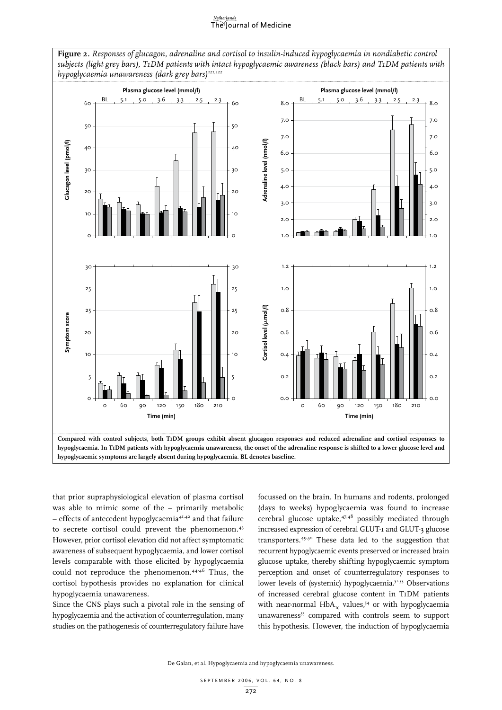#### Netherlands The Journal of Medicine

**Figure 2.** *Responses of glucagon, adrenaline and cortisol to insulin-induced hypoglycaemia in nondiabetic control subjects (light grey bars), T1DM patients with intact hypoglycaemic awareness (black bars) and T1DM patients with hypoglycaemia unawareness (dark grey bars)121,122* **Plasma glucose level (mmol/l) Plasma glucose level (mmol/l)** BL 5.1 5.0 3.6 BL 5.1 5.0 3.6 3.3 2.5 2.3  $60 + \frac{BL}{1}$ , 5.1, 5.0, 3.6, 3.3, 2.5, 2.3 8.0  $60$ 8.0 7.0 7.0 50 50 7.0 7.0 Glucagon level (pmol/l) Adrenaline level (nmol/l) **Adrenaline level (nmol/l) Glucagon level (pmol/l)** 40 4C 6.0 6.0 30 30 5.0 5.0 4.0 4.0 20 20 3.0 3.0 10 10 2.0 2.0 1.0  $\circ$  $\circ$ 1.0 30 30 1.2 1.2  $25 +$  1.0 25 1.0  $\uparrow$  1.0 Cortisol level (umol/l) **Cortisol level (**m**mol/l)** 0.8 0.8 25 25 Symptom score **Symptom score** 0.6 0.6 20  $2<sub>c</sub>$ 1<sub>C</sub> 1C 0.4 0.4  $\circ$ 5 0.2 5  $\circ$  $\circ$  $O.C$  $\Omega$ 0 60 90 120 150 180 210 0 60 90 120 150 180 210 **Time (min) Time (min) Compared with control subjects, both T1DM groups exhibit absent glucagon responses and reduced adrenaline and cortisol responses to hypoglycaemia. In T1DM patients with hypoglycaemia unawareness, the onset of the adrenaline response is shifted to a lower glucose level and hypoglycaemic symptoms are largely absent during hypoglycaemia. BL denotes baseline.**

that prior supraphysiological elevation of plasma cortisol was able to mimic some of the – primarily metabolic – effects of antecedent hypoglycaemia41,42 and that failure to secrete cortisol could prevent the phenomenon.<sup>43</sup> However, prior cortisol elevation did not affect symptomatic awareness of subsequent hypoglycaemia, and lower cortisol levels comparable with those elicited by hypoglycaemia could not reproduce the phenomenon.44-46 Thus, the cortisol hypothesis provides no explanation for clinical hypoglycaemia unawareness.

Since the CNS plays such a pivotal role in the sensing of hypoglycaemia and the activation of counterregulation, many studies on the pathogenesis of counterregulatory failure have

focussed on the brain. In humans and rodents, prolonged (days to weeks) hypoglycaemia was found to increase cerebral glucose uptake,<sup>47,48</sup> possibly mediated through increased expression of cerebral GLUT-1 and GLUT-3 glucose transporters.49,50 These data led to the suggestion that recurrent hypoglycaemic events preserved or increased brain glucose uptake, thereby shifting hypoglycaemic symptom perception and onset of counterregulatory responses to lower levels of (systemic) hypoglycaemia.<sup>51-53</sup> Observations of increased cerebral glucose content in T1DM patients with near-normal HbA<sub>1c</sub> values,<sup>54</sup> or with hypoglycaemia unawareness<sup>55</sup> compared with controls seem to support this hypothesis. However, the induction of hypoglycaemia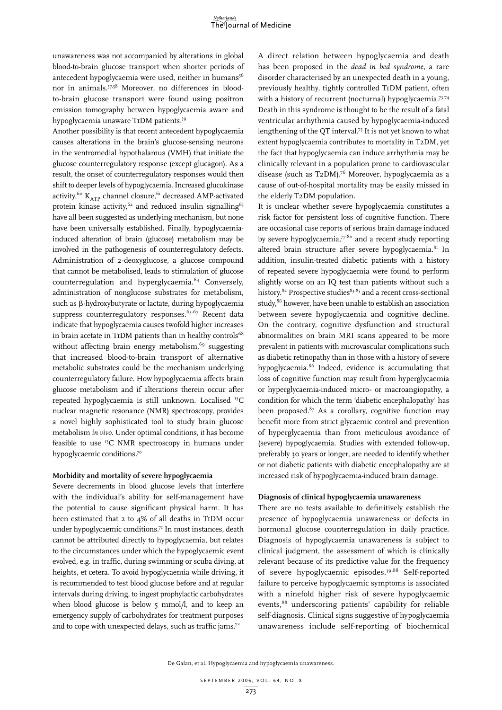unawareness was not accompanied by alterations in global blood-to-brain glucose transport when shorter periods of antecedent hypoglycaemia were used, neither in humans<sup>56</sup> nor in animals.57,58 Moreover, no differences in bloodto-brain glucose transport were found using positron emission tomography between hypoglycaemia aware and hypoglycaemia unaware T1DM patients.59

Another possibility is that recent antecedent hypoglycaemia causes alterations in the brain's glucose-sensing neurons in the ventromedial hypothalamus (VMH) that initiate the glucose counterregulatory response (except glucagon). As a result, the onset of counterregulatory responses would then shift to deeper levels of hypoglycaemia. Increased glucokinase activity,<sup>60</sup> K<sub>ATP</sub> channel closure,<sup>61</sup> decreased AMP-activated protein kinase activity,  $62$  and reduced insulin signalling<sup>63</sup> have all been suggested as underlying mechanism, but none have been universally established. Finally, hypoglycaemiainduced alteration of brain (glucose) metabolism may be involved in the pathogenesis of counterregulatory defects. Administration of 2-deoxyglucose, a glucose compound that cannot be metabolised, leads to stimulation of glucose counterregulation and hyperglycaemia.64 Conversely, administration of nonglucose substrates for metabolism, such as  $\beta$ -hydroxybutyrate or lactate, during hypoglycaemia suppress counterregulatory responses.<sup>65-67</sup> Recent data indicate that hypoglycaemia causes twofold higher increases in brain acetate in T1DM patients than in healthy controls $^{68}$ without affecting brain energy metabolism, $69$  suggesting that increased blood-to-brain transport of alternative metabolic substrates could be the mechanism underlying counterregulatory failure. How hypoglycaemia affects brain glucose metabolism and if alterations therein occur after repeated hypoglycaemia is still unknown. Localised 13C nuclear magnetic resonance (NMR) spectroscopy, provides a novel highly sophisticated tool to study brain glucose metabolism *in vivo*. Under optimal conditions, it has become feasible to use 13C NMR spectroscopy in humans under hypoglycaemic conditions.<sup>70</sup>

### **Morbidity and mortality of severe hypoglycaemia**

Severe decrements in blood glucose levels that interfere with the individual's ability for self-management have the potential to cause significant physical harm. It has been estimated that 2 to 4% of all deaths in T1DM occur under hypoglycaemic conditions.<sup>71</sup> In most instances, death cannot be attributed directly to hypoglycaemia, but relates to the circumstances under which the hypoglycaemic event evolved, e.g. in traffic, during swimming or scuba diving, at heights, et cetera. To avoid hypoglycaemia while driving, it is recommended to test blood glucose before and at regular intervals during driving, to ingest prophylactic carbohydrates when blood glucose is below 5 mmol/l, and to keep an emergency supply of carbohydrates for treatment purposes and to cope with unexpected delays, such as traffic jams.<sup>72</sup>

A direct relation between hypoglycaemia and death has been proposed in the *dead in bed syndrome*, a rare disorder characterised by an unexpected death in a young, previously healthy, tightly controlled T1DM patient, often with a history of recurrent (nocturnal) hypoglycaemia.<sup>73,74</sup> Death in this syndrome is thought to be the result of a fatal ventricular arrhythmia caused by hypoglycaemia-induced lengthening of the QT interval.75 It is not yet known to what extent hypoglycaemia contributes to mortality in T2DM, yet the fact that hypoglycaemia can induce arrhythmia may be clinically relevant in a population prone to cardiovascular disease (such as T2DM).<sup>76</sup> Moreover, hypoglycaemia as a cause of out-of-hospital mortality may be easily missed in the elderly T2DM population.

It is unclear whether severe hypoglycaemia constitutes a risk factor for persistent loss of cognitive function. There are occasional case reports of serious brain damage induced by severe hypoglycaemia, $77-80$  and a recent study reporting altered brain structure after severe hypoglycaemia. $81$  In addition, insulin-treated diabetic patients with a history of repeated severe hypoglycaemia were found to perform slightly worse on an IQ test than patients without such a history.<sup>82</sup> Prospective studies<sup>83-85</sup> and a recent cross-sectional study, <sup>86</sup> however, have been unable to establish an association between severe hypoglycaemia and cognitive decline. On the contrary, cognitive dysfunction and structural abnormalities on brain MRI scans appeared to be more prevalent in patients with microvascular complications such as diabetic retinopathy than in those with a history of severe hypoglycaemia.86 Indeed, evidence is accumulating that loss of cognitive function may result from hyperglycaemia or hyperglycaemia-induced micro- or macroangiopathy, a condition for which the term 'diabetic encephalopathy' has been proposed. $87$  As a corollary, cognitive function may benefit more from strict glycaemic control and prevention of hyperglycaemia than from meticulous avoidance of (severe) hypoglycaemia. Studies with extended follow-up, preferably 30 years or longer, are needed to identify whether or not diabetic patients with diabetic encephalopathy are at increased risk of hypoglycaemia-induced brain damage.

#### **Diagnosis of clinical hypoglycaemia unawareness**

There are no tests available to definitively establish the presence of hypoglycaemia unawareness or defects in hormonal glucose counterregulation in daily practice. Diagnosis of hypoglycaemia unawareness is subject to clinical judgment, the assessment of which is clinically relevant because of its predictive value for the frequency of severe hypoglycaemic episodes.39,88 Self-reported failure to perceive hypoglycaemic symptoms is associated with a ninefold higher risk of severe hypoglycaemic events,<sup>88</sup> underscoring patients' capability for reliable self-diagnosis. Clinical signs suggestive of hypoglycaemia unawareness include self-reporting of biochemical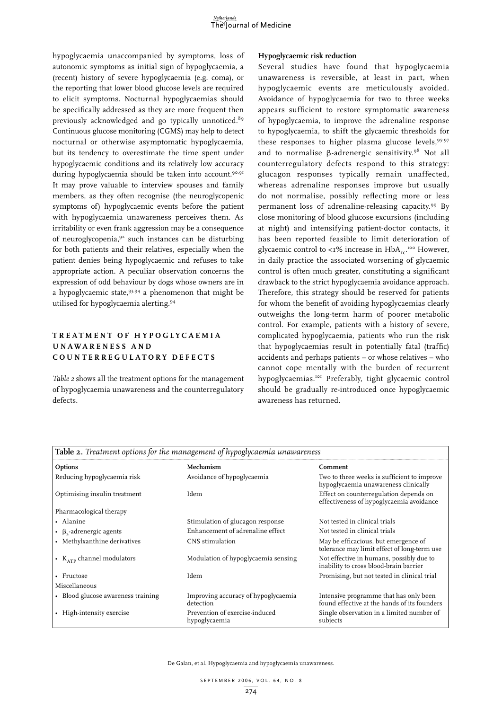hypoglycaemia unaccompanied by symptoms, loss of autonomic symptoms as initial sign of hypoglycaemia, a (recent) history of severe hypoglycaemia (e.g. coma), or the reporting that lower blood glucose levels are required to elicit symptoms. Nocturnal hypoglycaemias should be specifically addressed as they are more frequent then previously acknowledged and go typically unnoticed.<sup>89</sup> Continuous glucose monitoring (CGMS) may help to detect nocturnal or otherwise asymptomatic hypoglycaemia, but its tendency to overestimate the time spent under hypoglycaemic conditions and its relatively low accuracy during hypoglycaemia should be taken into account.<sup>90,91</sup> It may prove valuable to interview spouses and family members, as they often recognise (the neuroglycopenic symptoms of) hypoglycaemic events before the patient with hypoglycaemia unawareness perceives them. As irritability or even frank aggression may be a consequence of neuroglycopenia,92 such instances can be disturbing for both patients and their relatives, especially when the patient denies being hypoglycaemic and refuses to take appropriate action. A peculiar observation concerns the expression of odd behaviour by dogs whose owners are in a hypoglycaemic state, 93,94 a phenomenon that might be utilised for hypoglycaemia alerting.94

# **T r eatment o f h y p o g l y caem i a u nawa r ene s s an d c o u nte r r e g u l at o r y d e f ect s**

*Table 2* shows all the treatment options for the management of hypoglycaemia unawareness and the counterregulatory defects.

## **Hypoglycaemic risk reduction**

Several studies have found that hypoglycaemia unawareness is reversible, at least in part, when hypoglycaemic events are meticulously avoided. Avoidance of hypoglycaemia for two to three weeks appears sufficient to restore symptomatic awareness of hypoglycaemia, to improve the adrenaline response to hypoglycaemia, to shift the glycaemic thresholds for these responses to higher plasma glucose levels, 95-97 and to normalise  $\beta$ -adrenergic sensitivity.<sup>98</sup> Not all counterregulatory defects respond to this strategy: glucagon responses typically remain unaffected, whereas adrenaline responses improve but usually do not normalise, possibly reflecting more or less permanent loss of adrenaline-releasing capacity.99 By close monitoring of blood glucose excursions (including at night) and intensifying patient-doctor contacts, it has been reported feasible to limit deterioration of glycaemic control to <1% increase in  $\text{HbA}_{\text{rc}}$   $^{\text{100}}$  However, in daily practice the associated worsening of glycaemic control is often much greater, constituting a significant drawback to the strict hypoglycaemia avoidance approach. Therefore, this strategy should be reserved for patients for whom the benefit of avoiding hypoglycaemias clearly outweighs the long-term harm of poorer metabolic control. For example, patients with a history of severe, complicated hypoglycaemia, patients who run the risk that hypoglycaemias result in potentially fatal (traffic) accidents and perhaps patients – or whose relatives – who cannot cope mentally with the burden of recurrent hypoglycaemias.101 Preferably, tight glycaemic control should be gradually re-introduced once hypoglycaemic awareness has returned.

| Table 2. Treatment options for the management of hypoglycaemia unawareness |                                                  |                                                                                        |
|----------------------------------------------------------------------------|--------------------------------------------------|----------------------------------------------------------------------------------------|
| Options                                                                    | Mechanism                                        | Comment                                                                                |
| Reducing hypoglycaemia risk                                                | Avoidance of hypoglycaemia                       | Two to three weeks is sufficient to improve<br>hypoglycaemia unawareness clinically    |
| Optimising insulin treatment                                               | Idem                                             | Effect on counterregulation depends on<br>effectiveness of hypoglycaemia avoidance     |
| Pharmacological therapy                                                    |                                                  |                                                                                        |
| • Alanine                                                                  | Stimulation of glucagon response                 | Not tested in clinical trials                                                          |
| • $\beta$ , adrenergic agents                                              | Enhancement of adrenaline effect                 | Not tested in clinical trials                                                          |
| • Methylxanthine derivatives                                               | CNS stimulation                                  | May be efficacious, but emergence of<br>tolerance may limit effect of long-term use    |
| • $K_{ATP}$ channel modulators                                             | Modulation of hypoglycaemia sensing              | Not effective in humans, possibly due to<br>inability to cross blood-brain barrier     |
| • Fructose                                                                 | Idem                                             | Promising, but not tested in clinical trial                                            |
| Miscellaneous                                                              |                                                  |                                                                                        |
| • Blood glucose awareness training                                         | Improving accuracy of hypoglycaemia<br>detection | Intensive programme that has only been<br>found effective at the hands of its founders |
| • High-intensity exercise                                                  | Prevention of exercise-induced<br>hypoglycaemia  | Single observation in a limited number of<br>subjects                                  |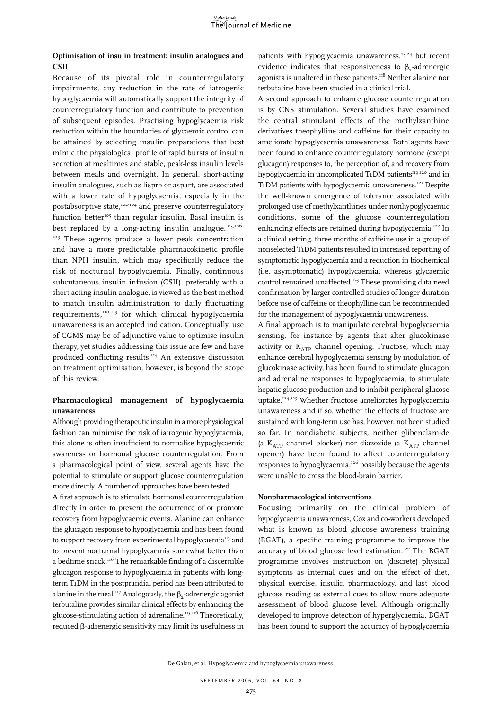# **Optimisation of insulin treatment: insulin analogues and CSII**

Because of its pivotal role in counterregulatory impairments, any reduction in the rate of iatrogenic hypoglycaemia will automatically support the integrity of counterregulatory function and contribute to prevention of subsequent episodes. Practising hypoglycaemia risk reduction within the boundaries of glycaemic control can be attained by selecting insulin preparations that best mimic the physiological profile of rapid bursts of insulin secretion at mealtimes and stable, peak-less insulin levels between meals and overnight. In general, short-acting insulin analogues, such as lispro or aspart, are associated with a lower rate of hypoglycaemia, especially in the postabsorptive state,<sup>102-104</sup> and preserve counterregulatory function better<sup>105</sup> than regular insulin. Basal insulin is best replaced by a long-acting insulin analogue.<sup>103,106-</sup> <sup>109</sup> These agents produce a lower peak concentration and have a more predictable pharmacokinetic profile than NPH insulin, which may specifically reduce the risk of nocturnal hypoglycaemia. Finally, continuous subcutaneous insulin infusion (CSII), preferably with a short-acting insulin analogue, is viewed as the best method to match insulin administration to daily fluctuating requirements,<sup>110-113</sup> for which clinical hypoglycaemia unawareness is an accepted indication. Conceptually, use of CGMS may be of adjunctive value to optimise insulin therapy, yet studies addressing this issue are few and have produced conflicting results.114 An extensive discussion on treatment optimisation, however, is beyond the scope of this review.

# **Pharmacological management of hypoglycaemia unawareness**

Although providing therapeutic insulin in a more physiological fashion can minimise the risk of iatrogenic hypoglycaemia, this alone is often insufficient to normalise hypoglycaemic awareness or hormonal glucose counterregulation. From a pharmacological point of view, several agents have the potential to stimulate or support glucose counterregulation more directly. A number of approaches have been tested.

A first approach is to stimulate hormonal counterregulation directly in order to prevent the occurrence of or promote recovery from hypoglycaemic events. Alanine can enhance the glucagon response to hypoglycaemia and has been found to support recovery from experimental hypoglycaemia<sup>115</sup> and to prevent nocturnal hypoglycaemia somewhat better than a bedtime snack.116 The remarkable finding of a discernible glucagon response to hypoglycaemia in patients with longterm T1DM in the postprandial period has been attributed to alanine in the meal.<sup>117</sup> Analogously, the  $\beta$ <sub>2</sub>-adrenergic agonist terbutaline provides similar clinical effects by enhancing the glucose-stimulating action of adrenaline.<sup>115,116</sup> Theoretically, reduced b-adrenergic sensitivity may limit its usefulness in

patients with hypoglycaemia unawareness,<sup>23,24</sup> but recent evidence indicates that responsiveness to  $\beta$ <sub>2</sub>-adrenergic agonists is unaltered in these patients.<sup>118</sup> Neither alanine nor terbutaline have been studied in a clinical trial.

A second approach to enhance glucose counterregulation is by CNS stimulation. Several studies have examined the central stimulant effects of the methylxanthine derivatives theophylline and caffeine for their capacity to ameliorate hypoglycaemia unawareness. Both agents have been found to enhance counterregulatory hormone (except glucagon) responses to, the perception of, and recovery from hypoglycaemia in uncomplicated T1DM patients<sup>119,120</sup> and in T1DM patients with hypoglycaemia unawareness.121 Despite the well-known emergence of tolerance associated with prolonged use of methylxanthines under nonhypoglycaemic conditions, some of the glucose counterregulation enhancing effects are retained during hypoglycaemia.<sup>122</sup> In a clinical setting, three months of caffeine use in a group of nonselected T1DM patients resulted in increased reporting of symptomatic hypoglycaemia and a reduction in biochemical (i.e. asymptomatic) hypoglycaemia, whereas glycaemic control remained unaffected.<sup>123</sup> These promising data need confirmation by larger controlled studies of longer duration before use of caffeine or theophylline can be recommended for the management of hypoglycaemia unawareness.

A final approach is to manipulate cerebral hypoglycaemia sensing, for instance by agents that alter glucokinase activity or  $K_{ATP}$  channel opening. Fructose, which may enhance cerebral hypoglycaemia sensing by modulation of glucokinase activity, has been found to stimulate glucagon and adrenaline responses to hypoglycaemia, to stimulate hepatic glucose production and to inhibit peripheral glucose uptake.124,125 Whether fructose ameliorates hypoglycaemia unawareness and if so, whether the effects of fructose are sustained with long-term use has, however, not been studied so far. In nondiabetic subjects, neither glibenclamide (a  $K_{ATP}$  channel blocker) nor diazoxide (a  $K_{ATP}$  channel opener) have been found to affect counterregulatory responses to hypoglycaemia,<sup>126</sup> possibly because the agents were unable to cross the blood-brain barrier.

## **Nonpharmacological interventions**

Focusing primarily on the clinical problem of hypoglycaemia unawareness, Cox and co-workers developed what is known as blood glucose awareness training (BGAT), a specific training programme to improve the accuracy of blood glucose level estimation.<sup>127</sup> The BGAT programme involves instruction on (discrete) physical symptoms as internal cues and on the effect of diet, physical exercise, insulin pharmacology, and last blood glucose reading as external cues to allow more adequate assessment of blood glucose level. Although originally developed to improve detection of hyperglycaemia, BGAT has been found to support the accuracy of hypoglycaemia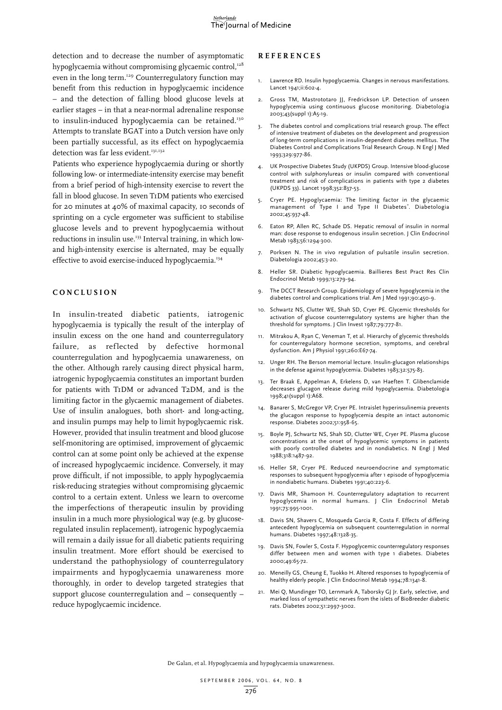detection and to decrease the number of asymptomatic hypoglycaemia without compromising glycaemic control,<sup>128</sup> even in the long term.<sup>129</sup> Counterregulatory function may benefit from this reduction in hypoglycaemic incidence – and the detection of falling blood glucose levels at earlier stages – in that a near-normal adrenaline response to insulin-induced hypoglycaemia can be retained.<sup>130</sup> Attempts to translate BGAT into a Dutch version have only been partially successful, as its effect on hypoglycaemia detection was far less evident.<sup>131,132</sup>

Patients who experience hypoglycaemia during or shortly following low- or intermediate-intensity exercise may benefit from a brief period of high-intensity exercise to revert the fall in blood glucose. In seven T1DM patients who exercised for 20 minutes at 40% of maximal capacity, 10 seconds of sprinting on a cycle ergometer was sufficient to stabilise glucose levels and to prevent hypoglycaemia without reductions in insulin use.<sup>133</sup> Interval training, in which lowand high-intensity exercise is alternated, may be equally effective to avoid exercise-induced hypoglycaemia.<sup>134</sup>

### **C o nc l u s i o n**

In insulin-treated diabetic patients, iatrogenic hypoglycaemia is typically the result of the interplay of insulin excess on the one hand and counterregulatory failure, as reflected by defective hormonal counterregulation and hypoglycaemia unawareness, on the other. Although rarely causing direct physical harm, iatrogenic hypoglycaemia constitutes an important burden for patients with T1DM or advanced T2DM, and is the limiting factor in the glycaemic management of diabetes. Use of insulin analogues, both short- and long-acting, and insulin pumps may help to limit hypoglycaemic risk. However, provided that insulin treatment and blood glucose self-monitoring are optimised, improvement of glycaemic control can at some point only be achieved at the expense of increased hypoglycaemic incidence. Conversely, it may prove difficult, if not impossible, to apply hypoglycaemia risk-reducing strategies without compromising glycaemic control to a certain extent. Unless we learn to overcome the imperfections of therapeutic insulin by providing insulin in a much more physiological way (e.g. by glucoseregulated insulin replacement), iatrogenic hypoglycaemia will remain a daily issue for all diabetic patients requiring insulin treatment. More effort should be exercised to understand the pathophysiology of counterregulatory impairments and hypoglycaemia unawareness more thoroughly, in order to develop targeted strategies that support glucose counterregulation and – consequently – reduce hypoglycaemic incidence.

## **Re f e r ence s**

- Lawrence RD. Insulin hypoglycaemia. Changes in nervous manifestations. Lancet 1941;ii:602-4.
- 2. Gross TM, Mastrototaro JJ, Fredrickson LP. Detection of unseen hypoglycemia using continuous glucose monitoring. Diabetologia 2003;43(suppl 1):A5-19.
- 3. The diabetes control and complications trial research group. The effect of intensive treatment of diabetes on the development and progression of long-term complications in insulin-dependent diabetes mellitus. The Diabetes Control and Complications Trial Research Group. N Engl J Med 1993;329:977-86.
- 4. UK Prospective Diabetes Study (UKPDS) Group. Intensive blood-glucose control with sulphonylureas or insulin compared with conventional treatment and risk of complications in patients with type 2 diabetes (UKPDS 33). Lancet 1998;352:837-53.
- 5. Cryer PE. Hypoglycaemia: The limiting factor in the glycaemic management of Type I and Type II Diabetes\* . Diabetologia 2002;45:937-48.
- 6. Eaton RP, Allen RC, Schade DS. Hepatic removal of insulin in normal man: dose response to endogenous insulin secretion. J Clin Endocrinol Metab 1983;56:1294-300.
- 7. Porksen N. The in vivo regulation of pulsatile insulin secretion. Diabetologia 2002;45:3-20.
- 8. Heller SR. Diabetic hypoglycaemia. Baillieres Best Pract Res Clin Endocrinol Metab 1999;13:279-94.
- 9. The DCCT Research Group. Epidemiology of severe hypoglycemia in the diabetes control and complications trial. Am J Med 1991;90:450-9.
- 10. Schwartz NS, Clutter WE, Shah SD, Cryer PE. Glycemic thresholds for activation of glucose counterregulatory systems are higher than the threshold for symptoms. J Clin Invest 1987;79:777-81.
- 11. Mitrakou A, Ryan C, Veneman T, et al. Hierarchy of glycemic thresholds for counterregulatory hormone secretion, symptoms, and cerebral dysfunction. Am J Physiol 1991;260:E67-74.
- 12. Unger RH. The Berson memorial lecture. Insulin-glucagon relationships in the defense against hypoglycemia. Diabetes 1983;32:575-83.
- 13. Ter Braak E, Appelman A, Erkelens D, van Haeften T. Glibenclamide decreases glucagon release during mild hypoglycaemia. Diabetologia 1998;41(suppl 1):A68.
- 14. Banarer S, McGregor VP, Cryer PE. Intraislet hyperinsulinemia prevents the glucagon response to hypoglycemia despite an intact autonomic response. Diabetes 2002;51:958-65.
- 15. Boyle PJ, Schwartz NS, Shah SD, Clutter WE, Cryer PE. Plasma glucose concentrations at the onset of hypoglycemic symptoms in patients with poorly controlled diabetes and in nondiabetics. N Engl J Med 1988;318:1487-92.
- 16. Heller SR, Cryer PE. Reduced neuroendocrine and symptomatic responses to subsequent hypoglycemia after 1 episode of hypoglycemia in nondiabetic humans. Diabetes 1991;40:223-6.
- 17. Davis MR, Shamoon H. Counterregulatory adaptation to recurrent hypoglycemia in normal humans. J Clin Endocrinol Metab 1991;73:995-1001.
- 18. Davis SN, Shavers C, Mosqueda Garcia R, Costa F. Effects of differing antecedent hypoglycemia on subsequent counterregulation in normal humans. Diabetes 1997;48:1328-35.
- 19. Davis SN, Fowler S, Costa F. Hypoglycemic counterregulatory responses differ between men and women with type 1 diabetes. Diabetes 2000;49:65-72.
- 20. Meneilly GS, Cheung E, Tuokko H. Altered responses to hypoglycemia of healthy elderly people. J Clin Endocrinol Metab 1994;78:1341-8.
- 21. Mei Q, Mundinger TO, Lernmark A, Taborsky GJ Jr. Early, selective, and marked loss of sympathetic nerves from the islets of BioBreeder diabetic rats. Diabetes 2002;51:2997-3002.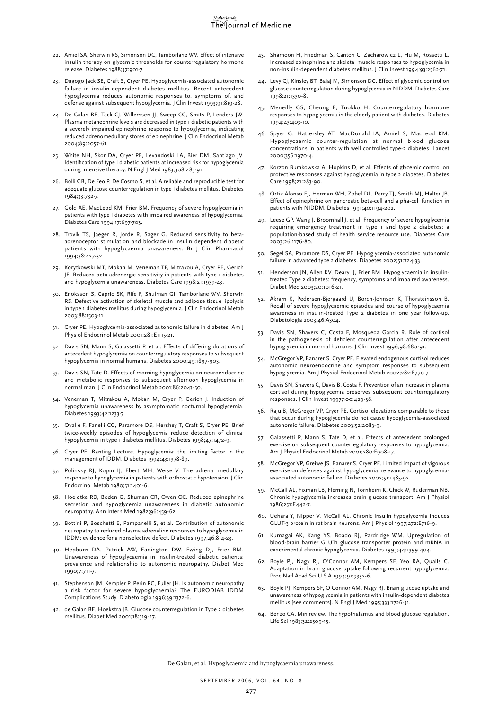#### Netherlands The Journal of Medicine

- 22. Amiel SA, Sherwin RS, Simonson DC, Tamborlane WV. Effect of intensive insulin therapy on glycemic thresholds for counterregulatory hormone release. Diabetes 1988;37:901-7.
- 23. Dagogo Jack SE, Craft S, Cryer PE. Hypoglycemia-associated autonomic failure in insulin-dependent diabetes mellitus. Recent antecedent hypoglycemia reduces autonomic responses to, symptoms of, and defense against subsequent hypoglycemia. J Clin Invest 1993;91:819-28.
- 24. De Galan BE, Tack CJ, Willemsen JJ, Sweep CG, Smits P, Lenders JW. Plasma metanephrine levels are decreased in type 1 diabetic patients with a severely impaired epinephrine response to hypoglycemia, indicating reduced adrenomedullary stores of epinephrine. J Clin Endocrinol Metab 2004;89:2057-61.
- 25. White NH, Skor DA, Cryer PE, Levandoski LA, Bier DM, Santiago JV. Identification of type I diabetic patients at increased risk for hypoglycemia during intensive therapy. N Engl J Med 1983;308:485-91.
- 26. Bolli GB, De Feo P, De Cosmo S, et al. A reliable and reproducible test for adequate glucose counterregulation in type I diabetes mellitus. Diabetes 1984;33:732-7.
- 27. Gold AE, MacLeod KM, Frier BM. Frequency of severe hypoglycemia in patients with type I diabetes with impaired awareness of hypoglycemia. Diabetes Care 1994;17:697-703.
- 28. Trovik TS, Jaeger R, Jorde R, Sager G. Reduced sensitivity to betaadrenoceptor stimulation and blockade in insulin dependent diabetic patients with hypoglycaemia unawareness. Br J Clin Pharmacol 1994;38:427-32.
- 29. Korytkowski MT, Mokan M, Veneman TF, Mitrakou A, Cryer PE, Gerich JE. Reduced beta-adrenergic sensitivity in patients with type 1 diabetes and hypoglycemia unawareness. Diabetes Care 1998;21:1939-43.
- 30. Enoksson S, Caprio SK, Rife F, Shulman GI, Tamborlane WV, Sherwin RS. Defective activation of skeletal muscle and adipose tissue lipolysis in type 1 diabetes mellitus during hypoglycemia. J Clin Endocrinol Metab 2003;88:1503-11.
- 31. Cryer PE. Hypoglycemia-associated autonomic failure in diabetes. Am J Physiol Endocrinol Metab 2001;281:E1115-21.
- 32. Davis SN, Mann S, Galassetti P, et al. Effects of differing durations of antecedent hypoglycemia on counterregulatory responses to subsequent hypoglycemia in normal humans. Diabetes 2000;49:1897-903.
- 33. Davis SN, Tate D. Effects of morning hypoglycemia on neuroendocrine and metabolic responses to subsequent afternoon hypoglycemia in normal man. J Clin Endocrinol Metab 2001;86:2043-50.
- 34. Veneman T, Mitrakou A, Mokan M, Cryer P, Gerich J. Induction of hypoglycemia unawareness by asymptomatic nocturnal hypoglycemia. Diabetes 1993;42:1233-7.
- 35. Ovalle F, Fanelli CG, Paramore DS, Hershey T, Craft S, Cryer PE. Brief twice-weekly episodes of hypoglycemia reduce detection of clinical hypoglycemia in type 1 diabetes mellitus. Diabetes 1998;47:1472-9.
- 36. Cryer PE. Banting Lecture. Hypoglycemia: the limiting factor in the management of IDDM. Diabetes 1994;43:1378-89.
- 37. Polinsky RJ, Kopin IJ, Ebert MH, Weise V. The adrenal medullary response to hypoglycemia in patients with orthostatic hypotension. J Clin Endocrinol Metab 1980;51:1401-6.
- 38. Hoeldtke RD, Boden G, Shuman CR, Owen OE. Reduced epinephrine secretion and hypoglycemia unawareness in diabetic autonomic neuropathy. Ann Intern Med 1982;96:459-62.
- 39. Bottini P, Boschetti E, Pampanelli S, et al. Contribution of autonomic neuropathy to reduced plasma adrenaline responses to hypoglycemia in IDDM: evidence for a nonselective defect. Diabetes 1997;46:814-23.
- 40. Hepburn DA, Patrick AW, Eadington DW, Ewing DJ, Frier BM. Unawareness of hypoglycaemia in insulin-treated diabetic patients: prevalence and relationship to autonomic neuropathy. Diabet Med 1990;7:711-7.
- 41. Stephenson JM, Kempler P, Perin PC, Fuller JH. Is autonomic neuropathy a risk factor for severe hypoglycaemia? The EURODIAB IDDM Complications Study. Diabetologia 1996;39:1372-6.
- 42. de Galan BE, Hoekstra JB. Glucose counterregulation in Type 2 diabetes mellitus. Diabet Med 2001;18:519-27.
- 43. Shamoon H, Friedman S, Canton C, Zacharowicz L, Hu M, Rossetti L. Increased epinephrine and skeletal muscle responses to hypoglycemia in non-insulin-dependent diabetes mellitus. J Clin Invest 1994;93:2562-71.
- 44. Levy CJ, Kinsley BT, Bajaj M, Simonson DC. Effect of glycemic control on glucose counterregulation during hypoglycemia in NIDDM. Diabetes Care 1998;21:1330-8.
- 45. Meneilly GS, Cheung E, Tuokko H. Counterregulatory hormone responses to hypoglycemia in the elderly patient with diabetes. Diabetes 1994;43:403-10.
- 46. Spyer G, Hattersley AT, MacDonald IA, Amiel S, MacLeod KM. Hypoglycaemic counter-regulation at normal blood glucose concentrations in patients with well controlled type-2 diabetes. Lancet 2000;356:1970-4.
- 47. Korzon Burakowska A, Hopkins D, et al. Effects of glycemic control on protective responses against hypoglycemia in type 2 diabetes. Diabetes Care 1998;21:283-90.
- 48. Ortiz Alonso FJ, Herman WH, Zobel DL, Perry TJ, Smith MJ, Halter JB. Effect of epinephrine on pancreatic beta-cell and alpha-cell function in patients with NIDDM. Diabetes 1991;40:1194-202.
- 49. Leese GP, Wang J, Broomhall J, et al. Frequency of severe hypoglycemia requiring emergency treatment in type 1 and type 2 diabetes: a population-based study of health service resource use. Diabetes Care 2003;26:1176-80.
- 50. Segel SA, Paramore DS, Cryer PE. Hypoglycemia-associated autonomic failure in advanced type 2 diabetes. Diabetes 2002;51:724-33.
- 51. Henderson JN, Allen KV, Deary IJ, Frier BM. Hypoglycaemia in insulintreated Type 2 diabetes: frequency, symptoms and impaired awareness. Diabet Med 2003;20:1016-21.
- 52. Akram K, Pedersen-Bjergaard U, Borch-Johnsen K, Thorsteinsson B. Recall of severe hypoglycaemic episodes and course of hypoglycaemia awareness in insulin-treated Type 2 diabetes in one year follow-up. Diabetologia 2003;46:A304.
- 53. Davis SN, Shavers C, Costa F, Mosqueda Garcia R. Role of cortisol in the pathogenesis of deficient counterregulation after antecedent hypoglycemia in normal humans. J Clin Invest 1996;98:680-91.
- 54. McGregor VP, Banarer S, Cryer PE. Elevated endogenous cortisol reduces autonomic neuroendocrine and symptom responses to subsequent hypoglycemia. Am J Physiol Endocrinol Metab 2002;282:E770-7.
- 55. Davis SN, Shavers C, Davis B, Costa F. Prevention of an increase in plasma cortisol during hypoglycemia preserves subsequent counterregulatory responses. J Clin Invest 1997;100:429-38.
- 56. Raju B, McGregor VP, Cryer PE. Cortisol elevations comparable to those that occur during hypoglycemia do not cause hypoglycemia-associated autonomic failure. Diabetes 2003;52:2083-9.
- 57. Galassetti P, Mann S, Tate D, et al. Effects of antecedent prolonged exercise on subsequent counterregulatory responses to hypoglycemia. Am J Physiol Endocrinol Metab 2001;280:E908-17.
- 58. McGregor VP, Greiwe JS, Banarer S, Cryer PE. Limited impact of vigorous exercise on defenses against hypoglycemia: relevance to hypoglycemiaassociated autonomic failure. Diabetes 2002;51:1485-92.
- 59. McCall AL, Fixman LB, Fleming N, Tornheim K, Chick W, Ruderman NB. Chronic hypoglycemia increases brain glucose transport. Am J Physiol 1986;251:E442-7.
- 60. Uehara Y, Nipper V, McCall AL. Chronic insulin hypoglycemia induces GLUT-3 protein in rat brain neurons. Am J Physiol 1997;272:E716-9.
- 61. Kumagai AK, Kang YS, Boado RJ, Pardridge WM. Upregulation of blood-brain barrier GLUT1 glucose transporter protein and mRNA in experimental chronic hypoglycemia. Diabetes 1995;44:1399-404.
- 62. Boyle PJ, Nagy RJ, O'Connor AM, Kempers SF, Yeo RA, Qualls C. Adaptation in brain glucose uptake following recurrent hypoglycemia. Proc Natl Acad Sci U S A 1994;91:9352-6.
- 63. Boyle PJ, Kempers SF, O'Connor AM, Nagy RJ. Brain glucose uptake and unawareness of hypoglycemia in patients with insulin-dependent diabetes mellitus [see comments]. N Engl J Med 1995;333:1726-31.
- 64. Benzo CA. Minireview. The hypothalamus and blood glucose regulation. Life Sci 1983;32:2509-15.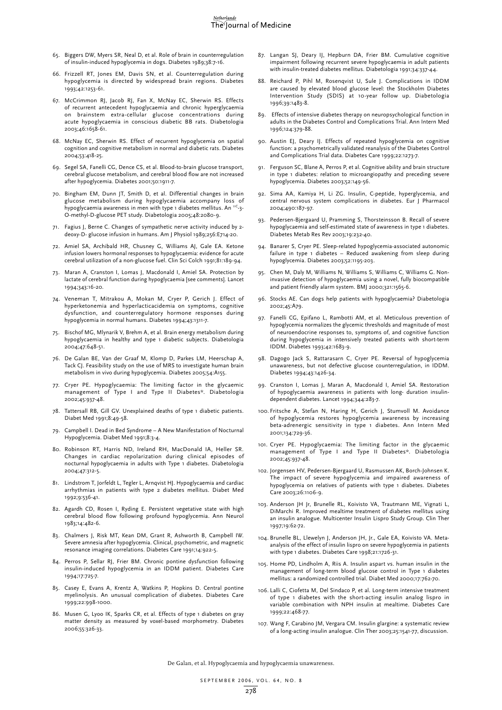- 65. Biggers DW, Myers SR, Neal D, et al. Role of brain in counterregulation of insulin-induced hypoglycemia in dogs. Diabetes 1989;38:7-16.
- 66. Frizzell RT, Jones EM, Davis SN, et al. Counterregulation during hypoglycemia is directed by widespread brain regions. Diabetes 1993;42:1253-61.
- 67. McCrimmon RJ, Jacob RJ, Fan X, McNay EC, Sherwin RS. Effects of recurrent antecedent hypoglycaemia and chronic hyperglycaemia on brainstem extra-cellular glucose concentrations during acute hypoglycaemia in conscious diabetic BB rats. Diabetologia 2003;46:1658-61.
- 68. McNay EC, Sherwin RS. Effect of recurrent hypoglycemia on spatial cognition and cognitive metabolism in normal and diabetic rats. Diabetes 2004;53:418-25.
- 69. Segel SA, Fanelli CG, Dence CS, et al. Blood-to-brain glucose transport, cerebral glucose metabolism, and cerebral blood flow are not increased after hypoglycemia. Diabetes 2001;50:1911-7.
- 70. Bingham EM, Dunn JT, Smith D, et al. Differential changes in brain glucose metabolism during hypoglycaemia accompany loss of hypoglycaemia awareness in men with type 1 diabetes mellitus. An <sup>11C</sup>-3-O-methyl-D-glucose PET study. Diabetologia 2005;48:2080-9.
- 71. Fagius J, Berne C. Changes of sympathetic nerve activity induced by 2 deoxy-D- glucose infusion in humans. Am J Physiol 1989;256:E714-20.
- 72. Amiel SA, Archibald HR, Chusney G, Williams AJ, Gale EA. Ketone infusion lowers hormonal responses to hypoglycaemia: evidence for acute cerebral utilization of a non-glucose fuel. Clin Sci Colch 1991;81:189-94.
- 73. Maran A, Cranston I, Lomas J, Macdonald I, Amiel SA. Protection by lactate of cerebral function during hypoglycaemia [see comments]. Lancet 1994;343:16-20.
- 74. Veneman T, Mitrakou A, Mokan M, Cryer P, Gerich J. Effect of hyperketonemia and hyperlacticacidemia on symptoms, cognitive dysfunction, and counterregulatory hormone responses during hypoglycemia in normal humans. Diabetes 1994;43:1311-7.
- 75. Bischof MG, Mlynarik V, Brehm A, et al. Brain energy metabolism during hypoglycaemia in healthy and type 1 diabetic subjects. Diabetologia 2004;47:648-51.
- 76. De Galan BE, Van der Graaf M, Klomp D, Parkes LM, Heerschap A, Tack CJ. Feasibility study on the use of MRS to investigate human brain metabolism in vivo during hypoglycemia. Diabetes 2005;54:A155.
- 77. Cryer PE. Hypoglycaemia: The limiting factor in the glycaemic management of Type I and Type II Diabetes\*. Diabetologia 2002;45:937-48.
- 78. Tattersall RB, Gill GV. Unexplained deaths of type 1 diabetic patients. Diabet Med 1991;8:49-58.
- 79. Campbell I. Dead in Bed Syndrome A New Manifestation of Nocturnal Hypoglycemia. Diabet Med 1991;8:3-4.
- 80. Robinson RT, Harris ND, Ireland RH, MacDonald IA, Heller SR. Changes in cardiac repolarization during clinical episodes of nocturnal hypoglycaemia in adults with Type 1 diabetes. Diabetologia 2004;47:312-5.
- 81. Lindstrom T, Jorfeldt L, Tegler L, Arnqvist HJ. Hypoglycaemia and cardiac arrhythmias in patients with type 2 diabetes mellitus. Diabet Med 1992;9:536-41.
- 82. Agardh CD, Rosen I, Ryding E. Persistent vegetative state with high cerebral blood flow following profound hypoglycemia. Ann Neurol 1983;14:482-6.
- 83. Chalmers J, Risk MT, Kean DM, Grant R, Ashworth B, Campbell IW. Severe amnesia after hypoglycemia. Clinical, psychometric, and magnetic resonance imaging correlations. Diabetes Care 1991;14:922-5.
- 84. Perros P, Sellar RJ, Frier BM. Chronic pontine dysfunction following insulin-induced hypoglycemia in an IDDM patient. Diabetes Care 1994;17:725-7.
- 85. Casey E, Evans A, Krentz A, Watkins P, Hopkins D. Central pontine myelinolysis. An unusual complication of diabetes. Diabetes Care 1999;22:998-1000.
- 86. Musen G, Lyoo IK, Sparks CR, et al. Effects of type 1 diabetes on gray matter density as measured by voxel-based morphometry. Diabetes 2006;55:326-33.
- 87. Langan SJ, Deary IJ, Hepburn DA, Frier BM. Cumulative cognitive impairment following recurrent severe hypoglycaemia in adult patients with insulin-treated diabetes mellitus. Diabetologia 1991;34:337-44.
- 88. Reichard P, Pihl M, Rosenqvist U, Sule J. Complications in IDDM are caused by elevated blood glucose level: the Stockholm Diabetes Intervention Study (SDIS) at 10-year follow up. Diabetologia 1996;39:1483-8.
- 89. Effects of intensive diabetes therapy on neuropsychological function in adults in the Diabetes Control and Complications Trial. Ann Intern Med 1996;124:379-88.
- 90. Austin EJ, Deary IJ. Effects of repeated hypoglycemia on cognitive function: a psychometrically validated reanalysis of the Diabetes Control and Complications Trial data. Diabetes Care 1999;22:1273-7.
- 91. Ferguson SC, Blane A, Perros P, et al. Cognitive ability and brain structure in type 1 diabetes: relation to microangiopathy and preceding severe hypoglycemia. Diabetes 2003;52:149-56.
- 92. Sima AA, Kamiya H, Li ZG. Insulin, C-peptide, hyperglycemia, and central nervous system complications in diabetes. Eur J Pharmacol 2004;490:187-97.
- 93. Pedersen-Bjergaard U, Pramming S, Thorsteinsson B. Recall of severe hypoglycaemia and self-estimated state of awareness in type 1 diabetes. Diabetes Metab Res Rev 2003;19:232-40.
- 94. Banarer S, Cryer PE. Sleep-related hypoglycemia-associated autonomic failure in type 1 diabetes - Reduced awakening from sleep during hypoglycemia. Diabetes 2003;52:1195-203.
- 95. Chen M, Daly M, Williams N, Williams S, Williams C, Williams G. Noninvasive detection of hypoglycaemia using a novel, fully biocompatible and patient friendly alarm system. BMJ 2000;321:1565-6.
- 96. Stocks AE. Can dogs help patients with hypoglycaemia? Diabetologia 2002;45:A79.
- 97. Fanelli CG, Epifano L, Rambotti AM, et al. Meticulous prevention of hypoglycemia normalizes the glycemic thresholds and magnitude of most of neuroendocrine responses to, symptoms of, and cognitive function during hypoglycemia in intensively treated patients with short-term IDDM. Diabetes 1993;42:1683-9.
- 98. Dagogo Jack S, Rattarasarn C, Cryer PE. Reversal of hypoglycemia unawareness, but not defective glucose counterregulation, in IDDM. Diabetes 1994;43:1426-34.
- 99. Cranston I, Lomas J, Maran A, Macdonald I, Amiel SA. Restoration of hypoglycaemia awareness in patients with long- duration insulindependent diabetes. Lancet 1994;344:283-7.
- 100. Fritsche A, Stefan N, Haring H, Gerich J, Stumvoll M. Avoidance of hypoglycemia restores hypoglycemia awareness by increasing beta-adrenergic sensitivity in type 1 diabetes. Ann Intern Med 2001;134:729-36.
- 101. Cryer PE. Hypoglycaemia: The limiting factor in the glycaemic management of Type I and Type II Diabetes\*. Diabetologia 2002;45:937-48.
- 102. Jorgensen HV, Pedersen-Bjergaard U, Rasmussen AK, Borch-Johnsen K. The impact of severe hypoglycemia and impaired awareness of hypoglycemia on relatives of patients with type 1 diabetes. Diabetes Care 2003;26:1106-9.
- 103. Anderson JH Jr, Brunelle RL, Koivisto VA, Trautmann ME, Vignati L, DiMarchi R. Improved mealtime treatment of diabetes mellitus using an insulin analogue. Multicenter Insulin Lispro Study Group. Clin Ther 1997;19:62-72.
- 104. Brunelle BL, Llewelyn J, Anderson JH, Jr., Gale EA, Koivisto VA. Metaanalysis of the effect of insulin lispro on severe hypoglycemia in patients with type 1 diabetes. Diabetes Care 1998;21:1726-31.
- 105. Home PD, Lindholm A, Riis A. Insulin aspart vs. human insulin in the management of long-term blood glucose control in Type 1 diabetes mellitus: a randomized controlled trial. Diabet Med 2000;17:762-70.
- 106. Lalli C, Ciofetta M, Del Sindaco P, et al. Long-term intensive treatment of type 1 diabetes with the short-acting insulin analog lispro in variable combination with NPH insulin at mealtime. Diabetes Care 1999;22:468-77.
- 107. Wang F, Carabino JM, Vergara CM. Insulin glargine: a systematic review of a long-acting insulin analogue. Clin Ther 2003;25:1541-77, discussion.